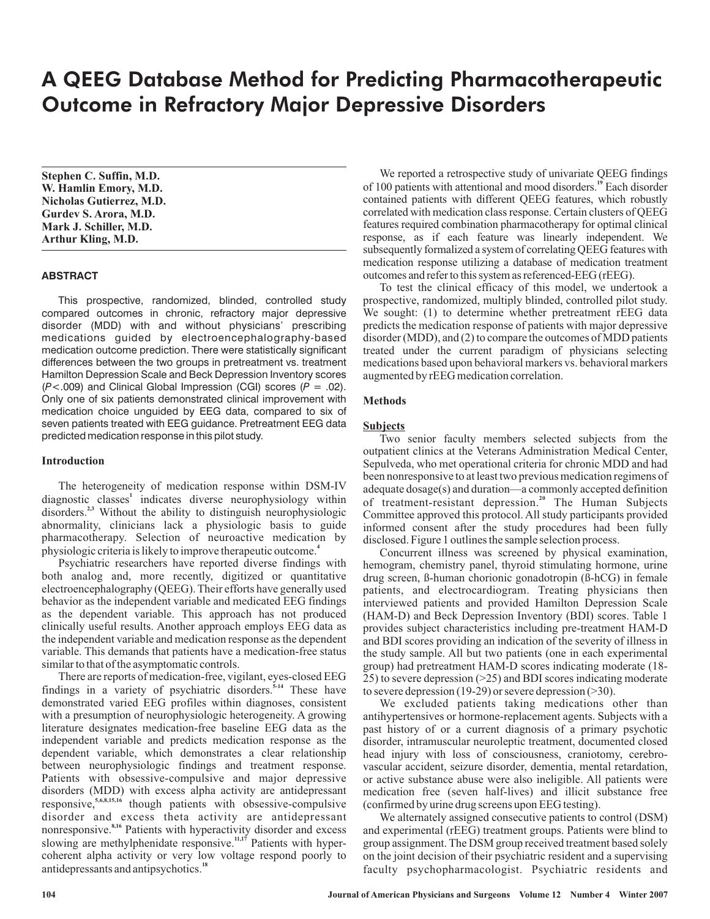# A QEEG Database Method for Predicting Pharmacotherapeutic Outcome in Refractory Major Depressive Disorders

**Stephen C. Suffin, M.D. W. Hamlin Emory, M.D. Nicholas Gutierrez, M.D. Gurdev S. Arora, M.D. Mark J. Schiller, M.D. Arthur Kling, M.D.**

# **ABSTRACT**

This prospective, randomized, blinded, controlled study compared outcomes in chronic, refractory major depressive disorder (MDD) with and without physicians' prescribing medications guided by electroencephalography-based medication outcome prediction. There were statistically significant differences between the two groups in pretreatment vs. treatment Hamilton Depression Scale and Beck Depression Inventory scores  $(P<.009)$  and Clinical Global Impression (CGI) scores  $(P = .02)$ . Only one of six patients demonstrated clinical improvement with medication choice unguided by EEG data, compared to six of seven patients treated with EEG guidance. Pretreatment EEG data predicted medication response in this pilot study.

# **Introduction**

The heterogeneity of medication response within DSM-IV diagnostic classes<sup>1</sup> indicates diverse neurophysiology within disorders.<sup>2,3</sup> Without the ability to distinguish neurophysiologic abnormality, clinicians lack a physiologic basis to guide pharmacotherapy. Selection of neuroactive medication by physiologic criteria is likely to improve therapeutic outcome. **4**

Psychiatric researchers have reported diverse findings with both analog and, more recently, digitized or quantitative electroencephalography (QEEG). Their efforts have generally used behavior as the independent variable and medicated EEG findings as the dependent variable. This approach has not produced clinically useful results. Another approach employs EEG data as the independent variable and medication response as the dependent variable. This demands that patients have a medication-free status similar to that of the asymptomatic controls.

There are reports of medication-free, vigilant, eyes-closed EEG findings in a variety of psychiatric disorders.<sup>5-14</sup> These have demonstrated varied EEG profiles within diagnoses, consistent with a presumption of neurophysiologic heterogeneity. A growing literature designates medication-free baseline EEG data as the independent variable and predicts medication response as the dependent variable, which demonstrates a clear relationship between neurophysiologic findings and treatment response. Patients with obsessive-compulsive and major depressive disorders (MDD) with excess alpha activity are antidepressant responsive,<sup>5,6,8,15,16</sup> though patients with obsessive-compulsive disorder and excess theta activity are antidepressant nonresponsive.<sup>8,16</sup> Patients with hyperactivity disorder and excess slowing are methylphenidate responsive.<sup>11,17</sup> Patients with hypercoherent alpha activity or very low voltage respond poorly to antidepressants and antipsychotics. **18**

We reported a retrospective study of univariate QEEG findings of 100 patients with attentional and mood disorders.<sup>19</sup> Each disorder contained patients with different QEEG features, which robustly correlated with medication class response. Certain clusters of QEEG features required combination pharmacotherapy for optimal clinical response, as if each feature was linearly independent. We subsequently formalized a system of correlating QEEG features with medication response utilizing a database of medication treatment outcomes and refer to this system as referenced-EEG (rEEG).

To test the clinical efficacy of this model, we undertook a prospective, randomized, multiply blinded, controlled pilot study. We sought: (1) to determine whether pretreatment rEEG data predicts the medication response of patients with major depressive disorder (MDD), and (2) to compare the outcomes of MDD patients treated under the current paradigm of physicians selecting medications based upon behavioral markers vs. behavioral markers augmented by rEEG medication correlation.

# **Methods**

#### **Subjects**

Two senior faculty members selected subjects from the outpatient clinics at the Veterans Administration Medical Center, Sepulveda, who met operational criteria for chronic MDD and had been nonresponsive to at least two previous medication regimens of adequate dosage(s) and duration—a commonly accepted definition of treatment-resistant depression.<sup>20</sup> The Human Subjects Committee approved this protocol. All study participants provided informed consent after the study procedures had been fully disclosed. Figure 1 outlines the sample selection process.

Concurrent illness was screened by physical examination, hemogram, chemistry panel, thyroid stimulating hormone, urine drug screen, ß-human chorionic gonadotropin (ß-hCG) in female patients, and electrocardiogram. Treating physicians then interviewed patients and provided Hamilton Depression Scale (HAM-D) and Beck Depression Inventory (BDI) scores. Table 1 provides subject characteristics including pre-treatment HAM-D and BDI scores providing an indication of the severity of illness in the study sample. All but two patients (one in each experimental group) had pretreatment HAM-D scores indicating moderate (18- 25) to severe depression (>25) and BDI scores indicating moderate to severe depression (19-29) or severe depression (>30).

We excluded patients taking medications other than antihypertensives or hormone-replacement agents. Subjects with a past history of or a current diagnosis of a primary psychotic disorder, intramuscular neuroleptic treatment, documented closed head injury with loss of consciousness, craniotomy, cerebrovascular accident, seizure disorder, dementia, mental retardation, or active substance abuse were also ineligible. All patients were medication free (seven half-lives) and illicit substance free (confirmed by urine drug screens upon EEG testing).

We alternately assigned consecutive patients to control (DSM) and experimental (rEEG) treatment groups. Patients were blind to group assignment. The DSM group received treatment based solely on the joint decision of their psychiatric resident and a supervising faculty psychopharmacologist. Psychiatric residents and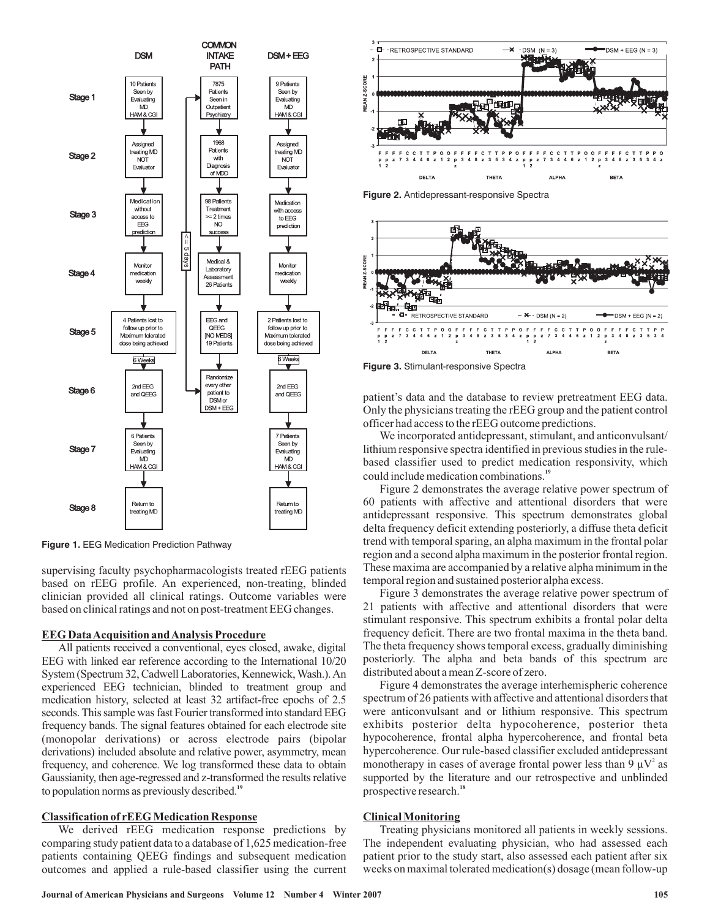

**Figure 1.** EEG Medication Prediction Pathway

supervising faculty psychopharmacologists treated rEEG patients based on rEEG profile. An experienced, non-treating, blinded clinician provided all clinical ratings. Outcome variables were based on clinical ratings and not on post-treatment EEG changes.

#### **EEG DataAcquisition andAnalysis Procedure**

All patients received a conventional, eyes closed, awake, digital EEG with linked ear reference according to the International 10/20 System (Spectrum 32, Cadwell Laboratories, Kennewick, Wash.). An experienced EEG technician, blinded to treatment group and medication history, selected at least 32 artifact-free epochs of 2.5 seconds. This sample was fast Fourier transformed into standard EEG frequency bands. The signal features obtained for each electrode site (monopolar derivations) or across electrode pairs (bipolar derivations) included absolute and relative power, asymmetry, mean frequency, and coherence. We log transformed these data to obtain Gaussianity, then age-regressed and z-transformed the results relative to population norms as previously described. **19**

# **Classification of rEEG Medication Response**

We derived rEEG medication response predictions by comparing study patient data to a database of 1,625 medication-free patients containing QEEG findings and subsequent medication outcomes and applied a rule-based classifier using the current



**Figure 2.** Antidepressant-responsive Spectra



**Figure 3.** Stimulant-responsive Spectra

patient's data and the database to review pretreatment EEG data. Only the physicians treating the rEEG group and the patient control officer had access to the rEEG outcome predictions.

We incorporated antidepressant, stimulant, and anticonvulsant/ lithium responsive spectra identified in previous studies in the rulebased classifier used to predict medication responsivity, which could include medication combinations. **19**

Figure 2 demonstrates the average relative power spectrum of 60 patients with affective and attentional disorders that were antidepressant responsive. This spectrum demonstrates global delta frequency deficit extending posteriorly, a diffuse theta deficit trend with temporal sparing, an alpha maximum in the frontal polar region and a second alpha maximum in the posterior frontal region. These maxima are accompanied by a relative alpha minimum in the temporal region and sustained posterior alpha excess.

Figure 3 demonstrates the average relative power spectrum of 21 patients with affective and attentional disorders that were stimulant responsive. This spectrum exhibits a frontal polar delta frequency deficit. There are two frontal maxima in the theta band. The theta frequency shows temporal excess, gradually diminishing posteriorly. The alpha and beta bands of this spectrum are distributed about a mean Z-score of zero.

Figure 4 demonstrates the average interhemispheric coherence spectrum of 26 patients with affective and attentional disorders that were anticonvulsant and or lithium responsive. This spectrum exhibits posterior delta hypocoherence, posterior theta hypocoherence, frontal alpha hypercoherence, and frontal beta hypercoherence. Our rule-based classifier excluded antidepressant monotherapy in cases of average frontal power less than 9  $\mu$ V<sup>2</sup> as supported by the literature and our retrospective and unblinded prospective research. **18**

#### **Clinical Monitoring**

Treating physicians monitored all patients in weekly sessions. The independent evaluating physician, who had assessed each patient prior to the study start, also assessed each patient after six weeks on maximal tolerated medication(s) dosage (mean follow-up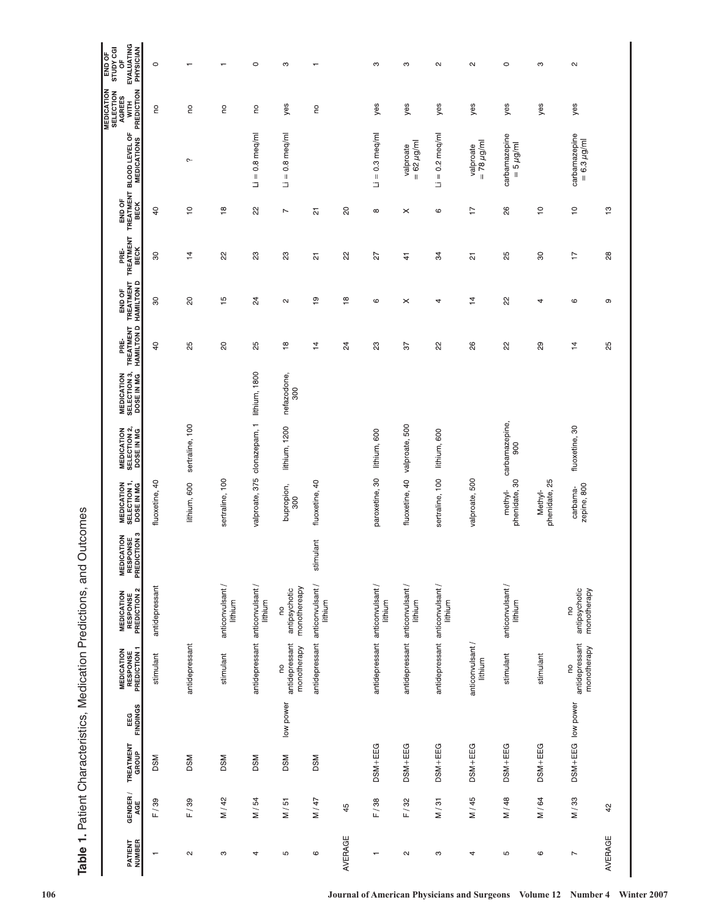| GENDER /<br>¥ | <b>TREATMENT</b><br>GROUP | <b>EEG</b><br>FINDINGS | <b>MEDICATION<br/>RESPONSE<br/>PREDICTION 1</b> | $\sim$<br><b>MEDICATION<br/>RESPONSE<br/>PREDICTION 2</b> | S<br><b>MEDICATION<br/>RESPONSE<br/>PREDICTION 3</b> | <b>MEDICATION<br/>SELECTION 1,<br/>DOSE IN MG</b> | <b>MEDICATION<br/>SELECTION 2,<br/>DOSE IN MG</b> | <b>MEDICATION<br/>SELECTION 3,<br/>DOSE IN MG</b> | PRE-<br>TREATMENT<br>HAMILTON D | END OF<br>TREATMENT<br>HAMILTON D | PRE-<br>TREATMENT<br>BECK |                           |                                                     | <b>MEDICATION<br/>SELECTION<br/>AGREES<br/>- PREDICTION</b> | OF<br>EVALUATING<br>PHYSICIAN<br>END OF<br>STUDY CGI |
|---------------|---------------------------|------------------------|-------------------------------------------------|-----------------------------------------------------------|------------------------------------------------------|---------------------------------------------------|---------------------------------------------------|---------------------------------------------------|---------------------------------|-----------------------------------|---------------------------|---------------------------|-----------------------------------------------------|-------------------------------------------------------------|------------------------------------------------------|
| F/39          | <b>DSM</b>                |                        | stimulant                                       | antidepressant                                            |                                                      | fluoxetine, 40                                    |                                                   |                                                   | $\overline{a}$                  | 80                                | 80                        | a                         |                                                     | 9                                                           | $\circ$                                              |
| F/39          | <b>DSM</b>                |                        | antidepressant                                  |                                                           |                                                      | lithium, 600                                      | sertraline, 100                                   |                                                   | 25                              | $\overline{c}$                    | $\frac{1}{4}$             | $\tilde{c}$               | $\sim$                                              | S                                                           | $\overline{\phantom{m}}$                             |
| M / 42        | <b>DSM</b>                |                        | stimulant                                       | anticonvulsant /<br>lithium                               |                                                      | sertraline, 100                                   |                                                   |                                                   | $\overline{c}$                  | 15                                | 22                        | $\frac{8}{1}$             |                                                     | g                                                           | $\overline{\phantom{m}}$                             |
| M / 54        | <b>DSM</b>                |                        | antidepressant                                  | anticonvulsant /<br>lithium                               |                                                      | 375<br>valproate,                                 | clonazepam, 1                                     | lithium, 1800                                     | 25                              | $^{24}$                           | $\mathbb{S}^2$            | 22                        | $0.8$ meg/ml<br>$\parallel$<br>Þ                    | S                                                           | $\circ$                                              |
| M/51          | DSM                       | low power              | antidepressant<br>monotherapy<br>g              | monothereapy<br>antipsychotic<br>g                        |                                                      | bupropion,<br>300                                 | lithium, 1200                                     | nefazodone,<br>300                                | $\overset{\circ}{\phantom{a}}$  | $\sim$                            | $_{23}$                   | $\overline{\phantom{a}}$  | meg/ml<br>$0.\overline{8}$<br>$\, \parallel$<br>G   | yes                                                         | S                                                    |
| N / 47        | <b>DSM</b>                |                        | antidepressant                                  | anticonvulsant /<br>lithium                               | stimulant                                            | fluoxetine, 40                                    |                                                   |                                                   | 4                               | စ္                                | <u>ي</u>                  | 21                        |                                                     | g                                                           | $\overline{\phantom{0}}$                             |
| 45            |                           |                        |                                                 |                                                           |                                                      |                                                   |                                                   |                                                   | $^{24}$                         | $\frac{8}{1}$                     | 22                        | $\Omega$                  |                                                     |                                                             |                                                      |
| F/38          | DSM+EEG                   |                        |                                                 | antidepressant anticonvulsant /<br>lithium                |                                                      | paroxetine, 30                                    | lithium, 600                                      |                                                   | ಔ                               | $\mathbf \circ$                   | 27                        | $\infty$                  | $= 0.3$ meq/ml<br>Е                                 | yes                                                         | S                                                    |
| F/32          | DSM+EEG                   |                        | antidepressant                                  | anticonvulsant /<br>lithium                               |                                                      | fluoxetine, 40                                    | 500<br>valproate,                                 |                                                   | $\overline{6}$                  | ×                                 | $\ddot{4}$                | $\times$                  | $= 62 \mu g/m$<br>valproate                         | yes                                                         | S                                                    |
| M/31          | DSM+EEG                   |                        | antidepressant                                  | anticonvulsant /<br>lithium                               |                                                      | $\overline{100}$<br>sertraline,                   | lithium, 600                                      |                                                   | $\approx$                       | 4                                 | 34                        | $\mathbf \circ$           | meq/ml<br>$_{\circ}^{\circ}$<br>$\, \parallel$<br>Ξ | yes                                                         | $\sim$                                               |
| M / 45        | DSM+EEG                   |                        | anticonvulsant /<br>lithium                     |                                                           |                                                      | 500<br>valproate,                                 |                                                   |                                                   | 88                              | 14                                | 21                        | 7                         | $= 78 \mu g/m$<br>valproate                         | yes                                                         | $\sim$                                               |
| M / 48        | DSM+EEG                   |                        | stimulant                                       | anticonvulsant /<br>lithium                               |                                                      | phenidate, 30<br>methyl-                          | carbamazepine<br>900                              |                                                   | 22                              | 2S                                | 25                        | 26                        | carbamazepine<br>$= 5 \mu g/m$                      | yes                                                         | $\circ$                                              |
| M / 64        | DSM+EEG                   |                        | stimulant                                       |                                                           |                                                      | phenidate, 25<br>Methyl-                          |                                                   |                                                   | $\mathbf{g}$                    | 4                                 | $\rm{S}$                  | $\tilde{=}$               |                                                     | yes                                                         | S                                                    |
| M/33          | DSM+EEG low power         |                        | antidepressant<br>monotherapy<br>g              | antipsychotic<br>monotherapy<br><b>D</b>                  |                                                      | zepine, 800<br>carbama-                           | fluoxetine, 30                                    |                                                   | $\overline{4}$                  | $\mathbf \circ$                   | $\overline{1}$            | $\mathop{=}^{\mathbb{C}}$ | carbamazepine<br>$= 6.3 \,\mu$ g/ml                 | yes                                                         | $\sim$                                               |
| 42            |                           |                        |                                                 |                                                           |                                                      |                                                   |                                                   |                                                   | 25                              | თ                                 | 28                        | ဗ္                        |                                                     |                                                             |                                                      |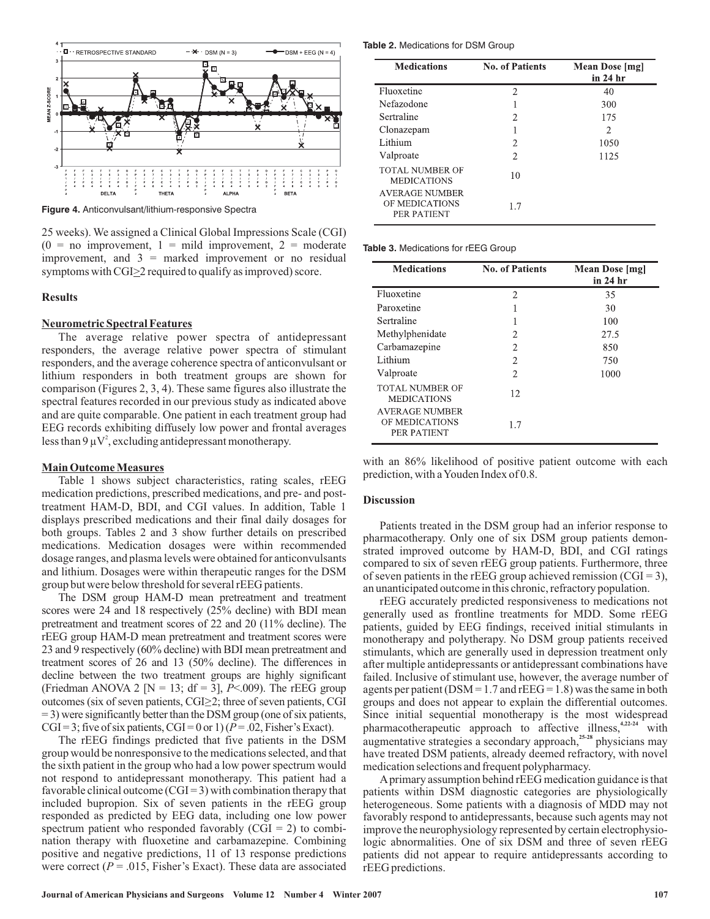

**Figure 4.** Anticonvulsant/lithium-responsive Spectra

25 weeks). We assigned a Clinical Global Impressions Scale (CGI)  $(0 = no$  improvement,  $1 = mild$  improvement,  $2 = moderate$ improvement, and  $3 =$  marked improvement or no residual symptoms with  $CGI \geq 2$  required to qualify as improved) score.

# **Results**

# **Neurometric Spectral Features**

The average relative power spectra of antidepressant responders, the average relative power spectra of stimulant responders, and the average coherence spectra of anticonvulsant or lithium responders in both treatment groups are shown for comparison (Figures 2, 3, 4). These same figures also illustrate the spectral features recorded in our previous study as indicated above and are quite comparable. One patient in each treatment group had EEG records exhibiting diffusely low power and frontal averages less than 9  $\mu$ V<sup>2</sup>, excluding antidepressant monotherapy.

#### **Main Outcome Measures**

Table 1 shows subject characteristics, rating scales, rEEG medication predictions, prescribed medications, and pre- and posttreatment HAM-D, BDI, and CGI values. In addition, Table 1 displays prescribed medications and their final daily dosages for both groups. Tables 2 and 3 show further details on prescribed medications. Medication dosages were within recommended dosage ranges, and plasma levels were obtained for anticonvulsants and lithium. Dosages were within therapeutic ranges for the DSM group but were below threshold for several rEEG patients.

The DSM group HAM-D mean pretreatment and treatment scores were 24 and 18 respectively (25% decline) with BDI mean pretreatment and treatment scores of 22 and 20 (11% decline). The rEEG group HAM-D mean pretreatment and treatment scores were 23 and 9 respectively (60% decline) with BDI mean pretreatment and treatment scores of 26 and 13 (50% decline). The differences in decline between the two treatment groups are highly significant (Friedman ANOVA 2 [N = 13;  $df = 3$ ],  $P < .009$ ). The rEEG group outcomes (six of seven patients, CGI≥2; three of seven patients, CGI = 3) were significantly better than the DSM group (one of six patients, CGI = 3; five of six patients, CGI = 0 or 1) ( $P = .02$ , Fisher's Exact).

The rEEG findings predicted that five patients in the DSM group would be nonresponsive to the medications selected, and that the sixth patient in the group who had a low power spectrum would not respond to antidepressant monotherapy. This patient had a favorable clinical outcome  $(CGI = 3)$  with combination therapy that included bupropion. Six of seven patients in the rEEG group responded as predicted by EEG data, including one low power spectrum patient who responded favorably  $(CGI = 2)$  to combination therapy with fluoxetine and carbamazepine. Combining positive and negative predictions, 11 of 13 response predictions were correct ( $P = .015$ , Fisher's Exact). These data are associated

**Table 2.** Medications for DSM Group

| <b>Medications</b>                                     | <b>No. of Patients</b> | Mean Dose [mg]<br>in 24 hr |
|--------------------------------------------------------|------------------------|----------------------------|
| Fluoxetine                                             | 2                      | 40                         |
| Nefazodone                                             |                        | 300                        |
| Sertraline                                             | 2                      | 175                        |
| Clonazepam                                             |                        | 2                          |
| Lithium                                                | 2                      | 1050                       |
| Valproate                                              | 2                      | 1125                       |
| <b>TOTAL NUMBER OF</b><br><b>MEDICATIONS</b>           | 10                     |                            |
| <b>AVERAGE NUMBER</b><br>OF MEDICATIONS<br>PER PATIENT | 1.7                    |                            |

**Table 3.** Medications for rEEG Group

| <b>Medications</b>                                     | <b>No. of Patients</b> | Mean Dose [mg]<br>in 24 hr |
|--------------------------------------------------------|------------------------|----------------------------|
| Fluoxetine                                             | 2                      | 35                         |
| Paroxetine                                             | 1                      | 30                         |
| Sertraline                                             | п                      | 100                        |
| Methylphenidate                                        | 2                      | 27.5                       |
| Carbamazepine                                          | 2                      | 850                        |
| Lithium                                                | 2                      | 750                        |
| Valproate                                              | $\mathfrak{D}$         | 1000                       |
| <b>TOTAL NUMBER OF</b><br><b>MEDICATIONS</b>           | 12                     |                            |
| <b>AVERAGE NUMBER</b><br>OF MEDICATIONS<br>PER PATIENT | 1.7                    |                            |

with an 86% likelihood of positive patient outcome with each prediction, with aYouden Index of 0.8.

#### **Discussion**

Patients treated in the DSM group had an inferior response to pharmacotherapy. Only one of six DSM group patients demonstrated improved outcome by HAM-D, BDI, and CGI ratings compared to six of seven rEEG group patients. Furthermore, three of seven patients in the rEEG group achieved remission (CGI = 3), an unanticipated outcome in this chronic, refractory population.

rEEG accurately predicted responsiveness to medications not generally used as frontline treatments for MDD. Some rEEG patients, guided by EEG findings, received initial stimulants in monotherapy and polytherapy. No DSM group patients received stimulants, which are generally used in depression treatment only after multiple antidepressants or antidepressant combinations have failed. Inclusive of stimulant use, however, the average number of agents per patient ( $DSM = 1.7$  and  $rEEG = 1.8$ ) was the same in both groups and does not appear to explain the differential outcomes. Since initial sequential monotherapy is the most widespread pharmacotherapeutic approach to affective illness,<sup>4,2224</sup> with augmentative strategies a secondary approach,<sup>25-28</sup> physicians may have treated DSM patients, already deemed refractory, with novel medication selections and frequent polypharmacy. **4,22-24 25-28**

Aprimary assumption behind rEEG medication guidance is that patients within DSM diagnostic categories are physiologically heterogeneous. Some patients with a diagnosis of MDD may not favorably respond to antidepressants, because such agents may not improve the neurophysiology represented by certain electrophysiologic abnormalities. One of six DSM and three of seven rEEG patients did not appear to require antidepressants according to rEEG predictions.